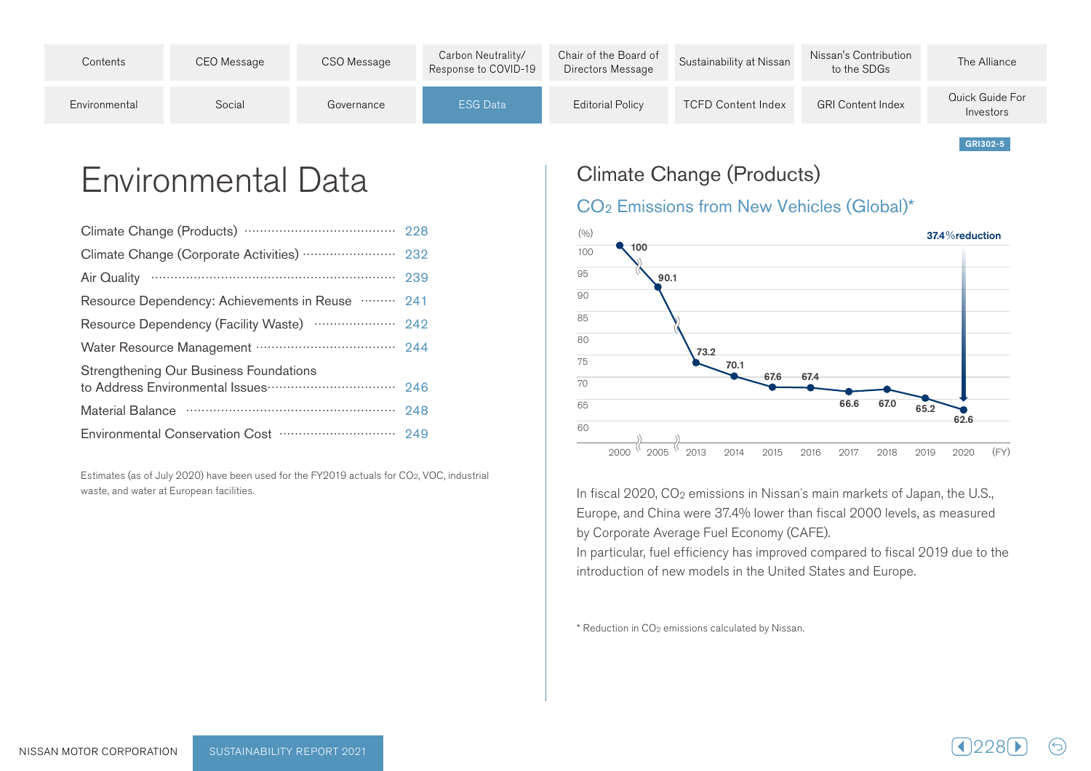| Contents      | CEO Message | CSO Message | Carbon Neutrality/<br>Response to COVID-19 | Chair of the Board of<br>Directors Message | Sustainability at Nissan  | Nissan's Contribution<br>to the SDGs | The Alliance                 |
|---------------|-------------|-------------|--------------------------------------------|--------------------------------------------|---------------------------|--------------------------------------|------------------------------|
| Environmental | Social      | Governance  | ESG Data                                   | Editorial Policy                           | <b>TCFD Content Index</b> | <b>GRI Content Index</b>             | Quick Guide For<br>Investors |

Environmental Data

| Resource Dependency: Achievements in Reuse  241 |     |
|-------------------------------------------------|-----|
|                                                 |     |
|                                                 |     |
| Strengthening Our Business Foundations          |     |
|                                                 | 246 |
|                                                 | 248 |
|                                                 |     |

Estimates (as of July 2020) have been used for the FY2019 actuals for CO<sub>2</sub>, VOC, industrial waste, and water at European facilities.

## Climate Change (Products)

#### CO<sub>2</sub> Emissions from New Vehicles (Global)\*



In fiscal 2020, CO<sub>2</sub> emissions in Nissan's main markets of Japan, the U.S., Europe, and China were 37.4% lower than fiscal 2000 levels, as measured by Corporate Average Fuel Economy (CAFE).

In particular, fuel efficiency has improved compared to fiscal 2019 due to the introduction of new models in the United States and Europe.

 $*$  Reduction in CO<sub>2</sub> emissions calculated by Nissan.



GRI302-5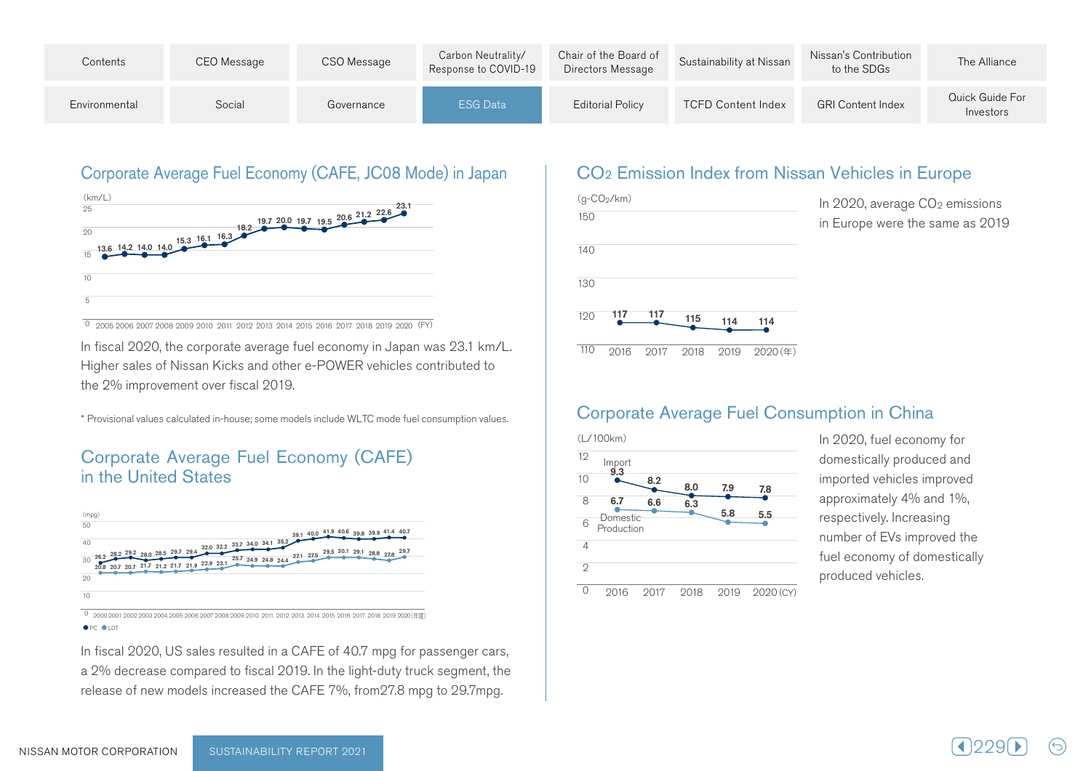| Contents      | CEO Message | CSO Message | Carbon Neutrality/<br>Response to COVID-19 | Chair of the Board of<br>Directors Message | Sustainability at Nissan | Nissan's Contribution<br>to the SDGs | The Alliance                 |
|---------------|-------------|-------------|--------------------------------------------|--------------------------------------------|--------------------------|--------------------------------------|------------------------------|
| Environmental | Social      | Governance  | ESG Data                                   | Editorial Policy                           | TCFD Content Index       | <b>GRI Content Index</b>             | Quick Guide For<br>Investors |

## Corporate Average Fuel Economy (CAFE, JC08 Mode) in Japan



0 2005 2006 2007 2008 2009 2010 2011 2012 2013 2014 2015 2016 2017 2018 2019 2020 (FY)

In fiscal 2020, the corporate average fuel economy in Japan was 23.1 km/L. Higher sales of Nissan Kicks and other e-POWER vehicles contributed to the 2% improvement over fiscal 2019.

\* Provisional values calculated in-house: some models include WLTC mode fuel consumption values.

#### Corporate Average Fuel Economy (CAFE) in the United States



0 2000 2001 2002 2003 2004 2005 2006 2007 2008 2009 2010 2011 2012 2013 2014 2015 2016 2017 2018 2019 2020 (年度) **OPC OLDT** 

In fiscal 2020, US sales resulted in a CAFE of 40.7 mpg for passenger cars, a 2% decrease compared to fiscal 2019. In the light-duty truck segment, the release of new models increased the CAFE 7%, from 27.8 mpg to 29.7mpg.

#### CO<sub>2</sub> Emission Index from Nissan Vehicles in Europe



### Corporate Average Fuel Consumption in China



In 2020, fuel economy for domestically produced and imported vehicles improved approximately 4% and 1%, respectively. Increasing number of EVs improved the fuel economy of domestically produced vehicles.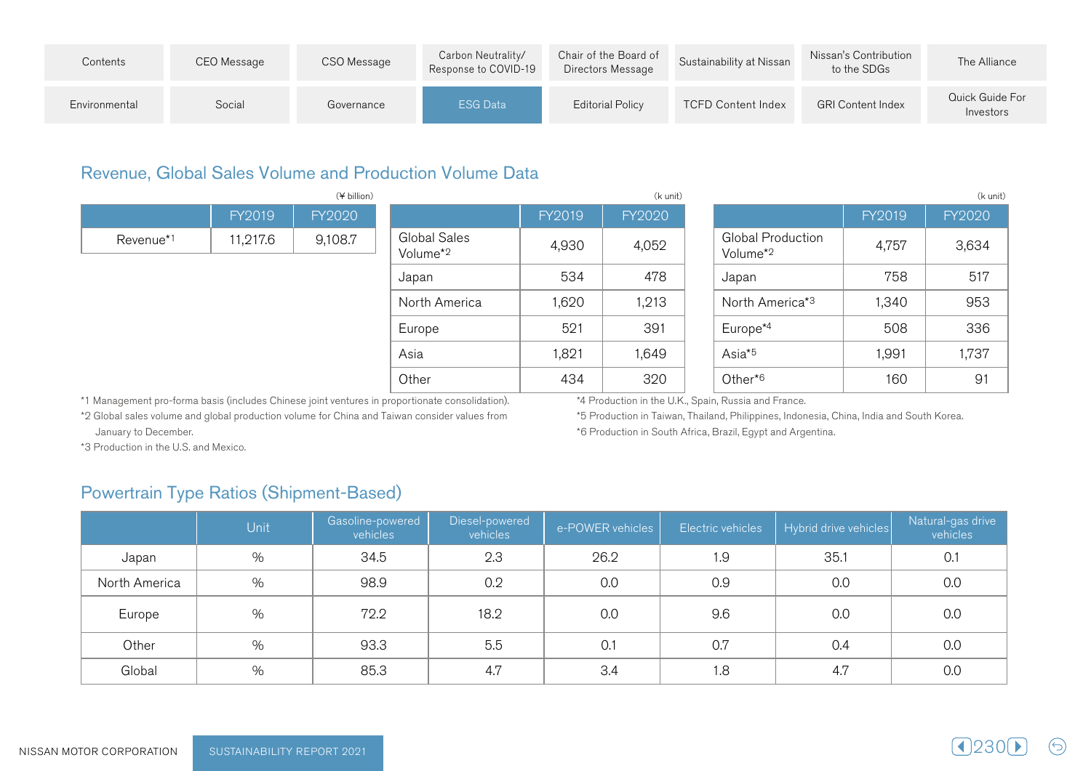| Contents      | CEO Message | CSO Message | Carbon Neutrality/<br>Response to COVID-19 | Chair of the Board of<br>Directors Message | Sustainability at Nissan  | Nissan's Contribution<br>to the SDGs | The Alliance                 |
|---------------|-------------|-------------|--------------------------------------------|--------------------------------------------|---------------------------|--------------------------------------|------------------------------|
| Environmental | Social      | Governance  | <b>ESG Data</b>                            | Editorial Policy                           | <b>TCFD Content Index</b> | <b>GRI Content Index</b>             | Quick Guide For<br>Investors |

#### Revenue, Global Sales Volume and Production Volume Data

|           | (¥ billion) |         |                                      |        |        | (k unit) |                                                  |        |               |  |
|-----------|-------------|---------|--------------------------------------|--------|--------|----------|--------------------------------------------------|--------|---------------|--|
|           | FY2019      | FY2020  |                                      | FY2019 | FY2020 |          |                                                  | FY2019 | <b>FY2020</b> |  |
| Revenue*1 | 11,217.6    | 9,108.7 | Global Sales<br>Volume <sup>*2</sup> | 4,930  | 4,052  |          | <b>Global Production</b><br>Volume <sup>*2</sup> | 4,757  | 3,634         |  |
|           |             |         | Japan                                | 534    | 478    |          | Japan                                            | 758    | 517           |  |
|           |             |         | North America                        | 1,620  | 1,213  |          | North America* <sup>3</sup>                      | 1,340  | 953           |  |
|           |             |         | Europe                               | 521    | 391    |          | Europe <sup>*4</sup>                             | 508    | 336           |  |
|           |             |         | Asia                                 | 1,821  | 1,649  |          | Asia <sup>*5</sup>                               | 1,991  | 1,737         |  |
|           |             |         | Other                                | 434    | 320    |          | Other* <sup>6</sup>                              | 160    | 91            |  |

\*1 Management pro-forma basis (includes Chinese joint ventures in proportionate consolidation).

\*4 Production in the U.K., Spain, Russia and France.

\*2 Global sales volume and global production volume for China and Taiwan consider values from January to December.

\*5 Production in Taiwan, Thailand, Philippines, Indonesia, China, India and South Korea.

\*6 Production in South Africa, Brazil, Egypt and Argentina.

\*3 Production in the U.S. and Mexico.

## Powertrain Type Ratios (Shipment-Based)

|               | Unit | Gasoline-powered<br>vehicles | Diesel-powered<br>vehicles | e-POWER vehicles | Electric vehicles | Hybrid drive vehicles | Natural-gas drive<br>vehicles |
|---------------|------|------------------------------|----------------------------|------------------|-------------------|-----------------------|-------------------------------|
| Japan         | %    | 34.5                         | 2.3                        | 26.2             | 1.9               | 35.1                  | 0.1                           |
| North America | %    | 98.9                         | 0.2                        | 0.0              | 0.9               | 0.0                   | 0.0                           |
| Europe        | $\%$ | 72.2                         | 18.2                       | 0.0              | 9.6               | 0.0                   | 0.0                           |
| Other         | %    | 93.3                         | 5.5                        | 0.1              | 0.7               | 0.4                   | 0.0                           |
| Global        | $\%$ | 85.3                         | 4.7                        | 3.4              | 1.8               | 4.7                   | 0.0                           |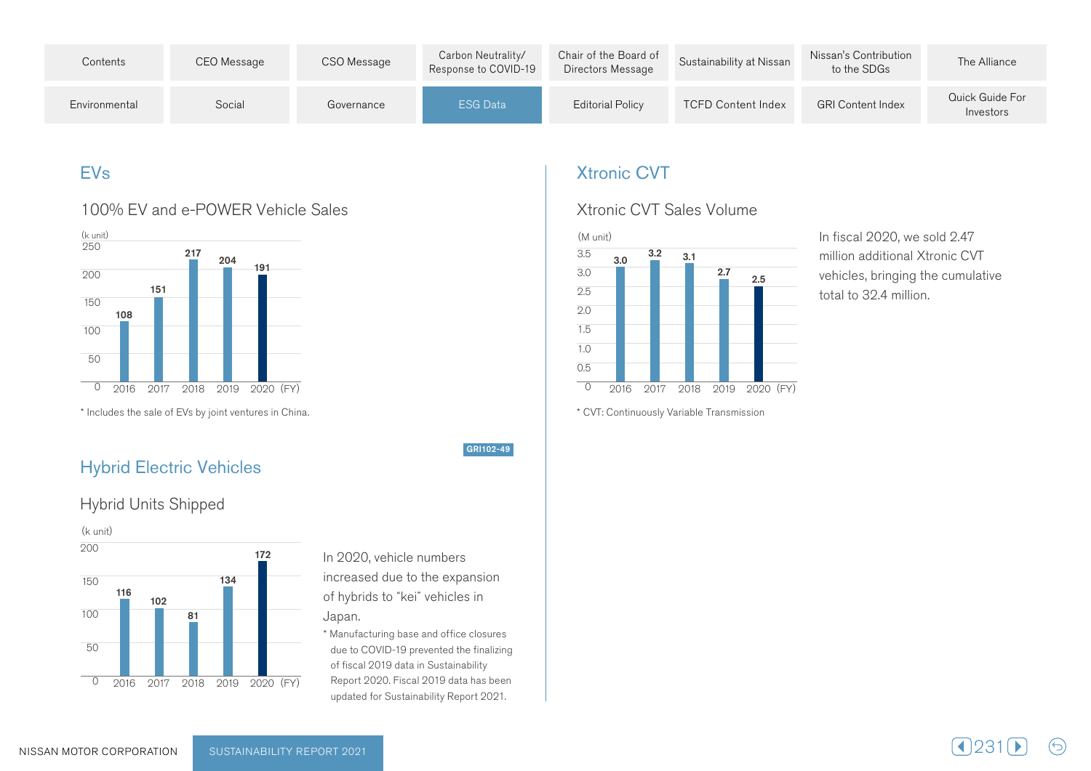| Contents      | CEO Message | CSO Message | Carbon Neutrality/<br>Response to COVID-19 | Chair of the Board of<br>Directors Message | Sustainability at Nissan  | Nissan's Contribution<br>to the SDGs | The Alliance                 |
|---------------|-------------|-------------|--------------------------------------------|--------------------------------------------|---------------------------|--------------------------------------|------------------------------|
| Environmental | Social      | Governance  | <b>ESG Data</b>                            | <b>Editorial Policy</b>                    | <b>TCFD Content Index</b> | <b>GRI Content Index</b>             | Quick Guide For<br>Investors |

## EVs

#### 100% EV and e-POWER Vehicle Sales



\* Includes the sale of EVs by joint ventures in China. This is a metal in venture of sale the Includes the Includes the Includes the sale of EVs by joint ventures in China.

#### **Hybrid Electric Vehicles**

#### Hybrid Units Shipped



In 2020, vehicle numbers increased due to the expansion of hybrids to "kei" vehicles in .Japan

GRI102-49

\* Manufacturing base and office closures due to COVID-19 prevented the finalizing of fiscal 2019 data in Sustainability Report 2020. Fiscal 2019 data has been updated for Sustainability Report 2021.

### **Xtronic CVT**

#### Xtronic CVT Sales Volume



In fiscal 2020, we sold 2.47 million additional Xtronic CVT vehicles, bringing the cumulative total to 32.4 million.

 $(\ominus)$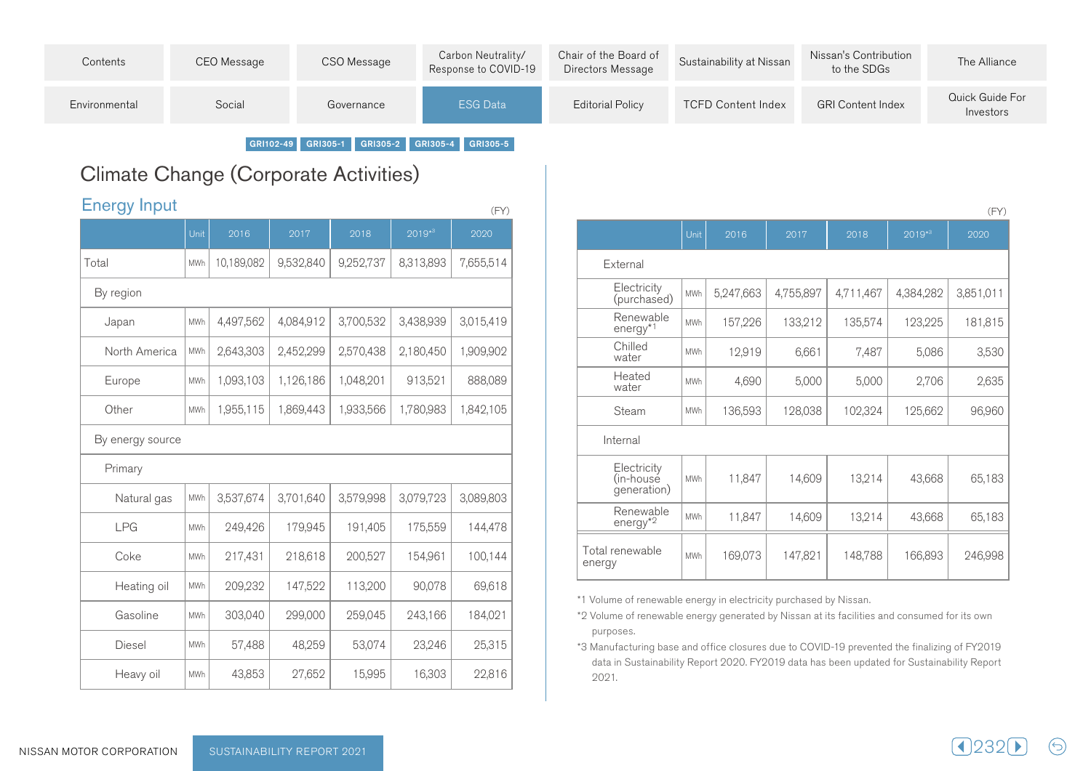| Contents      | CEO Message | CSO Message | Carbon Neutrality/<br>Response to COVID-19 | Chair of the Board of<br>Directors Message | Sustainability at Nissan  | Nissan's Contribution<br>to the SDGs | The Alliance                 |
|---------------|-------------|-------------|--------------------------------------------|--------------------------------------------|---------------------------|--------------------------------------|------------------------------|
| Environmental | Social      | Governance  | <b>ESG Data</b>                            | <b>Editorial Policy</b>                    | <b>TCFD Content Index</b> | <b>GRI Content Index</b>             | Quick Guide For<br>Investors |

GRI102-49 GRI305-1 GRI305-2 GRI305-4 GRI305-5

# Climate Change (Corporate Activities)

| <b>Energy Input</b><br>(FY) |            |            |           |           |             |           |  |  |  |  |
|-----------------------------|------------|------------|-----------|-----------|-------------|-----------|--|--|--|--|
|                             | Unit       | 2016       | 2017      | 2018      | $2019^{*3}$ | 2020      |  |  |  |  |
| Total                       | <b>MWh</b> | 10,189,082 | 9,532,840 | 9,252,737 | 8,313,893   | 7,655,514 |  |  |  |  |
| By region                   |            |            |           |           |             |           |  |  |  |  |
| Japan                       | <b>MWh</b> | 4,497,562  | 4,084,912 | 3,700,532 | 3,438,939   | 3,015,419 |  |  |  |  |
| North America               | MWh        | 2,643,303  | 2,452,299 | 2,570,438 | 2,180,450   | 1,909,902 |  |  |  |  |
| Europe                      | MWh        | 1,093,103  | 1,126,186 | 1,048,201 | 913,521     | 888,089   |  |  |  |  |
| Other                       | MWh        | 1,955,115  | 1,869,443 | 1,933,566 | 1,780,983   | 1,842,105 |  |  |  |  |
| By energy source            |            |            |           |           |             |           |  |  |  |  |
| Primary                     |            |            |           |           |             |           |  |  |  |  |
| Natural gas                 | MWh        | 3,537,674  | 3,701,640 | 3,579,998 | 3,079,723   | 3,089,803 |  |  |  |  |
| <b>LPG</b>                  | MWh        | 249,426    | 179,945   | 191,405   | 175,559     | 144,478   |  |  |  |  |
| Coke                        | MWh        | 217,431    | 218,618   | 200,527   | 154,961     | 100,144   |  |  |  |  |
| Heating oil                 | MWh        | 209,232    | 147,522   | 113,200   | 90,078      | 69,618    |  |  |  |  |
| Gasoline                    | MWh        | 303,040    | 299,000   | 259,045   | 243,166     | 184,021   |  |  |  |  |
| Diesel                      | <b>MWh</b> | 57,488     | 48,259    | 53,074    | 23,246      | 25,315    |  |  |  |  |
| Heavy oil                   | MWh        | 43,853     | 27,652    | 15,995    | 16,303      | 22,816    |  |  |  |  |

|                                         |            |           |           |           |           | (FY)      |
|-----------------------------------------|------------|-----------|-----------|-----------|-----------|-----------|
|                                         | Unit       | 2016      | 2017      | 2018      | $2019*3$  | 2020      |
| External                                |            |           |           |           |           |           |
| Electricity<br>(purchased)              | <b>MWh</b> | 5,247,663 | 4,755,897 | 4,711,467 | 4,384,282 | 3,851,011 |
| Renewable<br>energy <sup>*1</sup>       | <b>MWh</b> | 157,226   | 133,212   | 135,574   | 123,225   | 181,815   |
| Chilled<br>water                        | <b>MWh</b> | 12,919    | 6,661     | 7,487     | 5,086     | 3,530     |
| Heated<br>water                         | <b>MWh</b> | 4,690     | 5,000     | 5,000     | 2,706     | 2,635     |
| Steam                                   | <b>MWh</b> | 136,593   | 128,038   | 102,324   | 125,662   | 96,960    |
| Internal                                |            |           |           |           |           |           |
| Electricity<br>(in-house<br>generation) | MWh        | 11,847    | 14,609    | 13,214    | 43,668    | 65,183    |
| Renewable<br>$energy*2$                 | <b>MWh</b> | 11,847    | 14,609    | 13,214    | 43,668    | 65,183    |
| Total renewable<br>energy               | <b>MWh</b> | 169,073   | 147,821   | 148,788   | 166,893   | 246,998   |

\*1 Volume of renewable energy in electricity purchased by Nissan.

\*2 Volume of renewable energy generated by Nissan at its facilities and consumed for its own .purposes

\*3 Manufacturing base and office closures due to COVID-19 prevented the finalizing of FY2019 data in Sustainability Report 2020. FY2019 data has been updated for Sustainability Report 2021.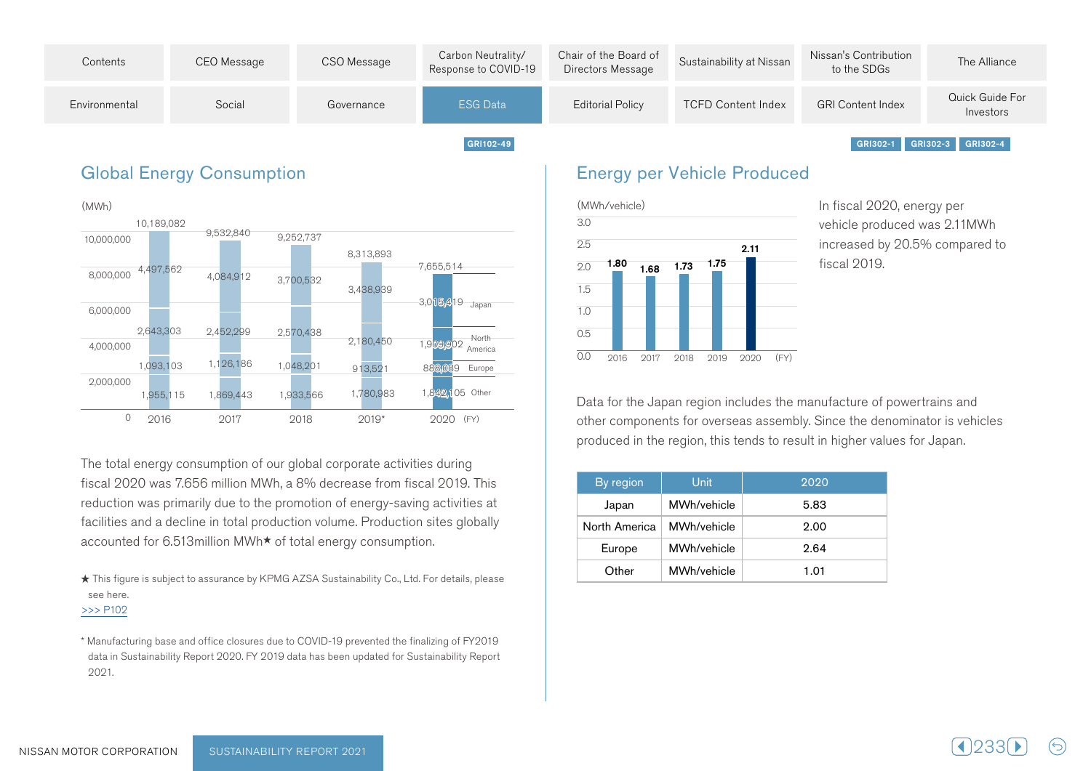

### **Global Energy Consumption**



The total energy consumption of our global corporate activities during fiscal 2020 was 7.656 million MWh, a 8% decrease from fiscal 2019. This reduction was primarily due to the promotion of energy-saving activities at facilities and a decline in total production volume. Production sites globally accounted for 6.513 million MWh<sup>★</sup> of total energy consumption.

★ This figure is subject to assurance by KPMG AZSA Sustainability Co., Ltd. For details, please see here.

 $>>$  P102

\* Manufacturing base and office closures due to COVID-19 prevented the finalizing of FY2019 data in Sustainability Report 2020. FY 2019 data has been updated for Sustainability Report 2021.

#### **Energy per Vehicle Produced**



In fiscal 2020, energy per vehicle produced was 2.11 MWh increased by 20.5% compared to fiscal 2019.

Data for the Japan region includes the manufacture of powertrains and other components for overseas assembly. Since the denominator is vehicles produced in the region, this tends to result in higher values for Japan.

| By region     | Unit        | 2020 |
|---------------|-------------|------|
| Japan         | MWh/vehicle | 5.83 |
| North America | MWh/vehicle | 2.00 |
| Europe        | MWh/vehicle | 2.64 |
| Other         | MWh/vehicle | 1.01 |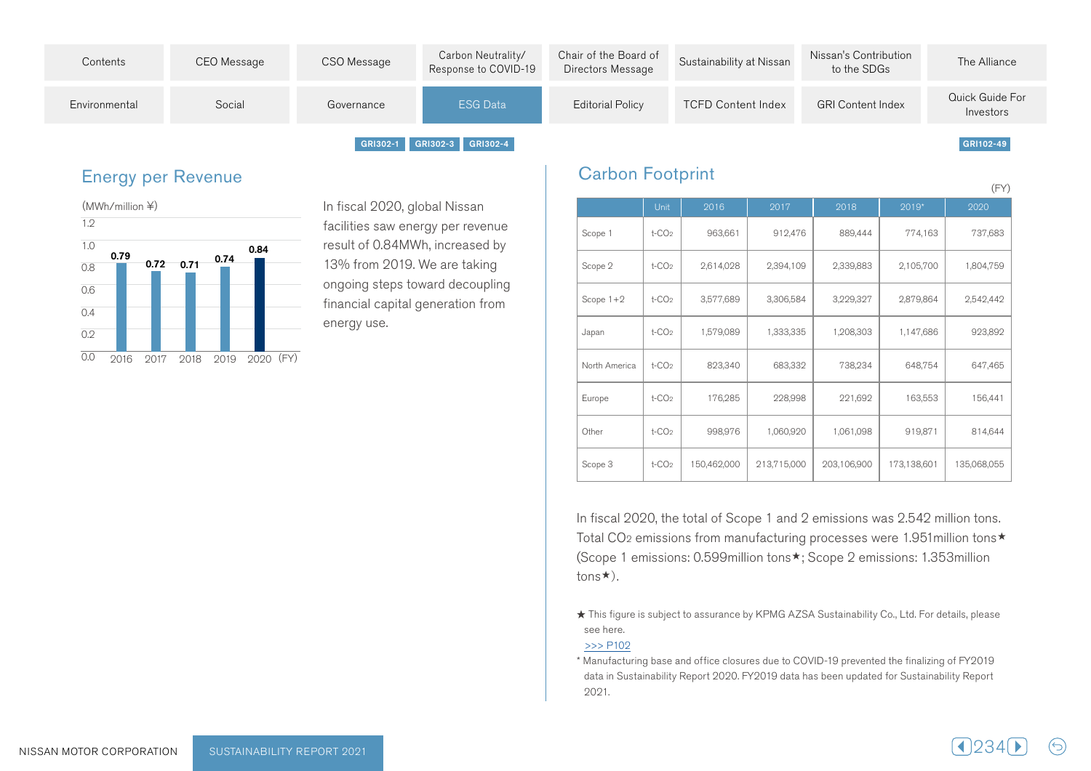

#### **Energy per Revenue**



In fiscal 2020, global Nissan facilities saw energy per revenue result of 0.84 MWh, increased by 13% from 2019. We are taking ongoing steps toward decoupling financial capital generation from energy use.

#### **Carbon Footprint**

|               |                      |             |             |             |             | (FY)        |
|---------------|----------------------|-------------|-------------|-------------|-------------|-------------|
|               | Unit                 | 2016        | 2017        | 2018        | 2019*       | 2020        |
| Scope 1       | $t$ -CO <sub>2</sub> | 963,661     | 912,476     | 889,444     | 774,163     | 737,683     |
| Scope 2       | $t$ -CO <sub>2</sub> | 2,614,028   | 2,394,109   | 2,339,883   | 2,105,700   | 1,804,759   |
| Scope $1+2$   | $t$ -CO <sub>2</sub> | 3,577,689   | 3,306,584   | 3,229,327   | 2,879,864   | 2,542,442   |
| Japan         | $t$ -CO <sub>2</sub> | 1,579,089   | 1,333,335   | 1,208,303   | 1,147,686   | 923,892     |
| North America | $t$ -CO <sub>2</sub> | 823,340     | 683,332     | 738,234     | 648,754     | 647,465     |
| Europe        | $t$ -CO <sub>2</sub> | 176,285     | 228,998     | 221,692     | 163,553     | 156,441     |
| Other         | $t$ -CO <sub>2</sub> | 998,976     | 1,060,920   | 1,061,098   | 919,871     | 814,644     |
| Scope 3       | $t$ -CO <sub>2</sub> | 150,462,000 | 213,715,000 | 203,106,900 | 173,138,601 | 135,068,055 |

In fiscal 2020, the total of Scope 1 and 2 emissions was 2.542 million tons. Total CO<sub>2</sub> emissions from manufacturing processes were 1.951 million tons $\star$ (Scope 1 emissions: 0.599 million tons \*; Scope 2 emissions: 1.353 million  $t$ ons $\star$ ).

★ This figure is subject to assurance by KPMG AZSA Sustainability Co., Ltd. For details, please see here.

#### $>>$  P102

\* Manufacturing base and office closures due to COVID-19 prevented the finalizing of FY2019 data in Sustainability Report 2020. FY2019 data has been updated for Sustainability Report 2021.

| AI D |  |  |  |  |
|------|--|--|--|--|
|------|--|--|--|--|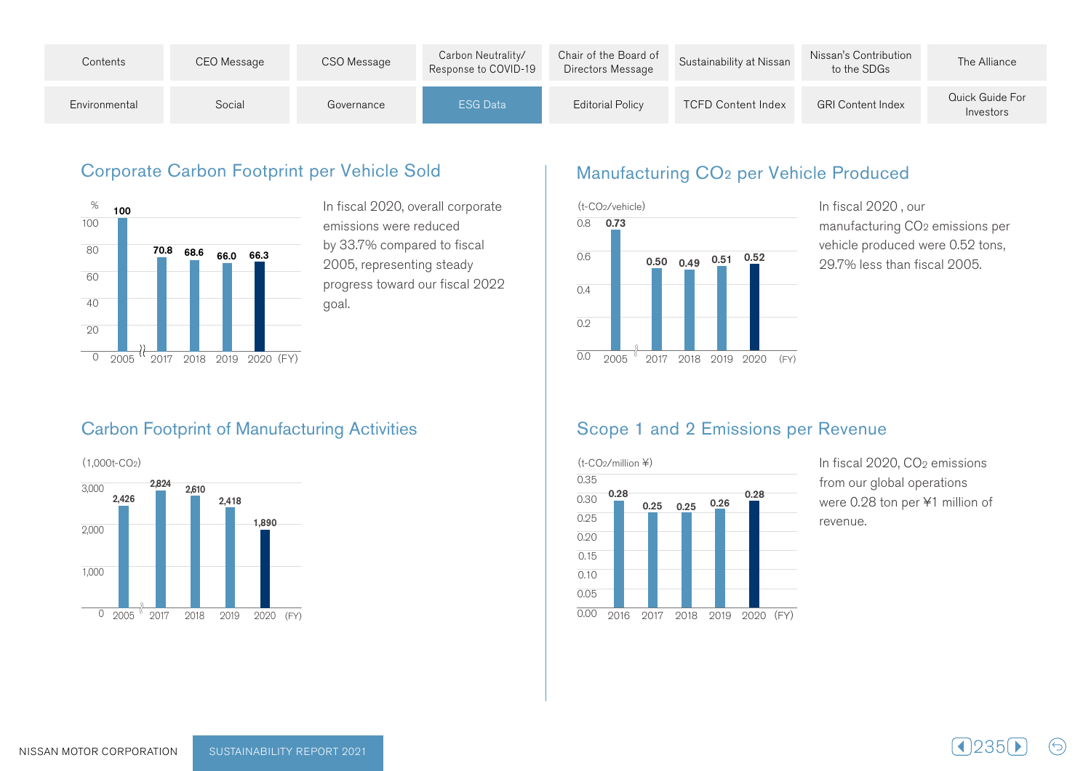| Contents      | CEO Message | CSO Message | Carbon Neutrality/<br>Response to COVID-19 | Chair of the Board of<br>Directors Message | Sustainability at Nissan  | Nissan's Contribution<br>to the SDGs | The Alliance                 |
|---------------|-------------|-------------|--------------------------------------------|--------------------------------------------|---------------------------|--------------------------------------|------------------------------|
| Environmental | Social      | Governance  | ESG Data                                   | <b>Editorial Policy</b>                    | <b>TCFD Content Index</b> | <b>GRI Content Index</b>             | Quick Guide For<br>Investors |

#### Corporate Carbon Footprint per Vehicle Sold



In fiscal 2020, overall corporate emissions were reduced by 33.7% compared to fiscal 2005, representing steady progress toward our fiscal 2022 .goal

# Manufacturing CO<sub>2</sub> per Vehicle Produced



In fiscal 2020, our manufacturing CO<sub>2</sub> emissions per vehicle produced were 0.52 tons, 29.7% less than fiscal 2005.

#### **Carbon Footprint of Manufacturing Activities**



#### Scope 1 and 2 Emissions per Revenue



In fiscal 2020, CO<sub>2</sub> emissions from our global operations were 0.28 ton per ¥1 million of .revenue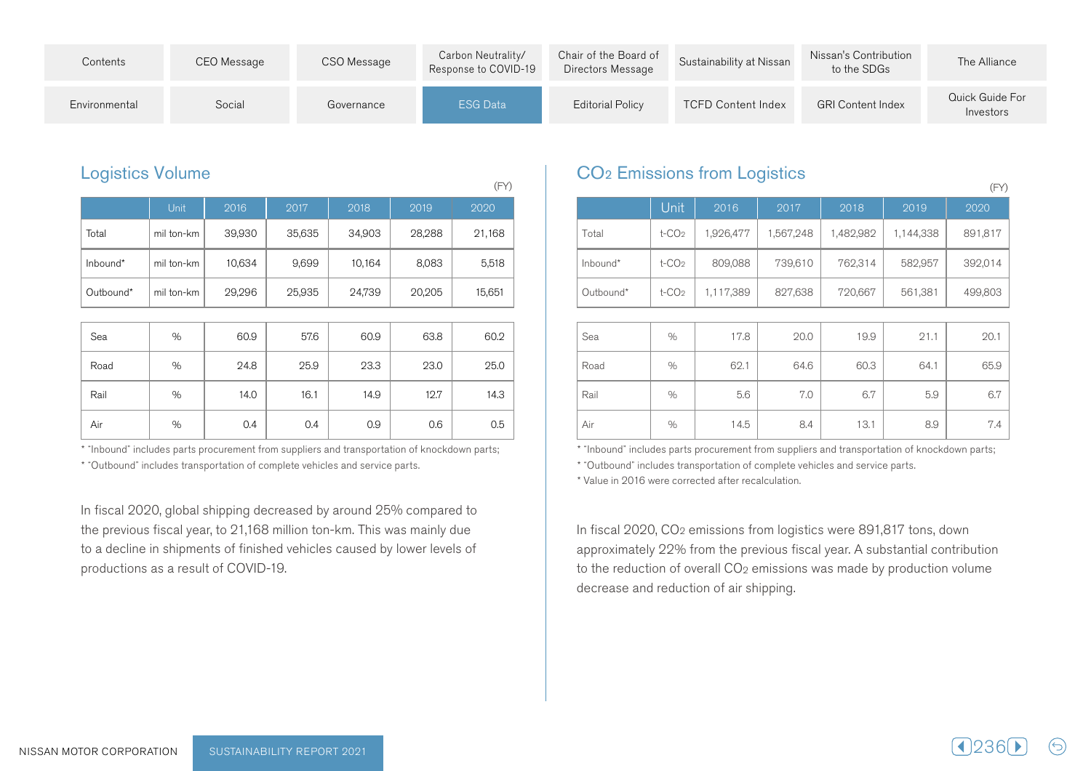| Contents      | CEO Message | CSO Message | Carbon Neutrality/<br>Response to COVID-19 | Chair of the Board of<br>Directors Message | Sustainability at Nissan  | Nissan's Contribution<br>to the SDGs | The Alliance                 |
|---------------|-------------|-------------|--------------------------------------------|--------------------------------------------|---------------------------|--------------------------------------|------------------------------|
| Environmental | Social      | Governance  | <b>ESG Data</b>                            | <b>Editorial Policy</b>                    | <b>TCFD Content Index</b> | <b>GRI Content Index</b>             | Quick Guide For<br>Investors |

|           | <b>Unit</b> | 2016   | 2017   | 2018   | 2019   | 2020   |
|-----------|-------------|--------|--------|--------|--------|--------|
| Total     | mil ton-km  | 39,930 | 35,635 | 34,903 | 28,288 | 21,168 |
| Inbound*  | mil ton-km  | 10,634 | 9,699  | 10,164 | 8,083  | 5,518  |
| Outbound* | mil ton-km  | 29,296 | 25,935 | 24,739 | 20,205 | 15,651 |
|           |             |        |        |        |        |        |
| Sea       | %           | 60.9   | 57.6   | 60.9   | 63.8   | 60.2   |
| Road      | %           | 24.8   | 25.9   | 23.3   | 23.0   | 25.0   |
| Rail      | %           | 14.0   | 16.1   | 14.9   | 12.7   | 14.3   |
| Air       | %           | 0.4    | 0.4    | 0.9    | 0.6    | 0.5    |

\* "Inbound" includes parts procurement from suppliers and transportation of knockdown parts;

\* "Outbound" includes transportation of complete vehicles and service parts.

In fiscal 2020, global shipping decreased by around 25% compared to the previous fiscal year, to 21,168 million ton-km. This was mainly due to a decline in shipments of finished vehicles caused by lower levels of productions as a result of COVID-19.

# Logistics Volume **Logistics CO**<sub>2</sub> Emissions from Logistics

|           | Unit                 | 2016      | 2017      | 2018      | 2019      | 2020    |
|-----------|----------------------|-----------|-----------|-----------|-----------|---------|
| Total     | $t$ -CO <sub>2</sub> | 1,926,477 | 1,567,248 | 1,482,982 | 1,144,338 | 891,817 |
| Inbound*  | $t$ -CO <sub>2</sub> | 809,088   | 739,610   | 762,314   | 582,957   | 392,014 |
| Outbound* | $t$ -CO <sub>2</sub> | 1,117,389 | 827,638   | 720,667   | 561,381   | 499,803 |
|           |                      |           |           |           |           |         |
| Sea       | $\%$                 | 17.8      | 20.0      | 19.9      | 21.1      | 20.1    |
| Road      | %                    | 62.1      | 64.6      | 60.3      | 64.1      | 65.9    |
| Rail      | $\%$                 | 5.6       | 7.0       | 6.7       | 5.9       | 6.7     |
| Air       | $\%$                 | 14.5      | 8.4       | 13.1      | 8.9       | 7.4     |

\* "Inbound" includes parts procurement from suppliers and transportation of knockdown parts; \* "Outbound" includes transportation of complete vehicles and service parts.

\* Value in 2016 were corrected after recalculation.

In fiscal 2020, CO<sub>2</sub> emissions from logistics were 891,817 tons, down approximately 22% from the previous fiscal year. A substantial contribution to the reduction of overall CO<sub>2</sub> emissions was made by production volume decrease and reduction of air shipping.



 $(FY)$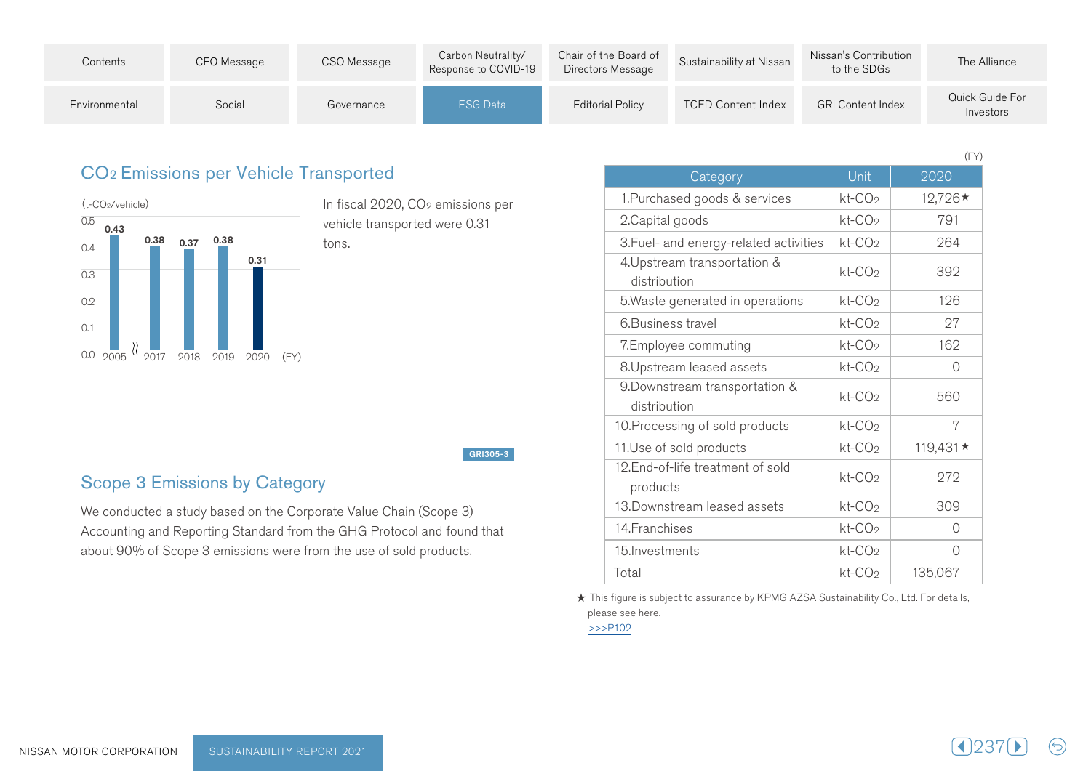| Contents      | CEO Message | CSO Message | Carbon Neutrality/<br>Response to COVID-19 | Chair of the Board of<br>Directors Message | Sustainability at Nissan  | Nissan's Contribution<br>to the SDGs | The Alliance                 |
|---------------|-------------|-------------|--------------------------------------------|--------------------------------------------|---------------------------|--------------------------------------|------------------------------|
| Environmental | Social      | Governance  | <b>ESG Data</b>                            | <b>Editorial Policy</b>                    | <b>TCFD Content Index</b> | <b>GRI Content Index</b>             | Quick Guide For<br>Investors |

#### CO<sub>2</sub> Emissions per Vehicle Transported



In fiscal 2020, CO<sub>2</sub> emissions per vehicle transported were 0.31 tons.

GRI305-3

### Scope 3 Emissions by Category

We conducted a study based on the Corporate Value Chain (Scope 3) Accounting and Reporting Standard from the GHG Protocol and found that about 90% of Scope 3 emissions were from the use of sold products.

|                                                |                    | $(\vdash \Upsilon)$ |
|------------------------------------------------|--------------------|---------------------|
| Category                                       | Unit               | 2020                |
| 1. Purchased goods & services                  | $kt$ - $CO2$       | 12,726*             |
| 2. Capital goods                               | $kt$ - $CO2$       | 791                 |
| 3. Fuel- and energy-related activities         | $kt$ - $CO2$       | 264                 |
| 4. Upstream transportation &<br>distribution   | kt-CO <sub>2</sub> | 392                 |
| 5. Waste generated in operations               | $kt$ - $CO2$       | 126                 |
| 6. Business travel                             | $kt$ - $CO2$       | 27                  |
| 7.Employee commuting                           | $kt$ - $CO2$       | 162                 |
| 8. Upstream leased assets                      | $kt$ - $CO2$       | 0                   |
| 9. Downstream transportation &<br>distribution | kt-CO <sub>2</sub> | 560                 |
| 10. Processing of sold products                | $kt$ - $CO2$       | 7                   |
| 11.Use of sold products                        | kt-CO <sub>2</sub> | 119,431 ★           |
| 12. End-of-life treatment of sold<br>products  | $kt$ - $CO2$       | 272                 |
| 13. Downstream leased assets                   | kt-CO <sub>2</sub> | 309                 |
| 14. Franchises                                 | $kt$ - $CO2$       | 0                   |
| 15. Investments                                | $kt$ - $CO2$       | Ω                   |
| Total                                          | kt-CO <sub>2</sub> | 135,067             |

 $\sqrt{2}$ 

 $\star$  This figure is subject to assurance by KPMG AZSA Sustainability Co., Ltd. For details, please see here.

 $>>$ P102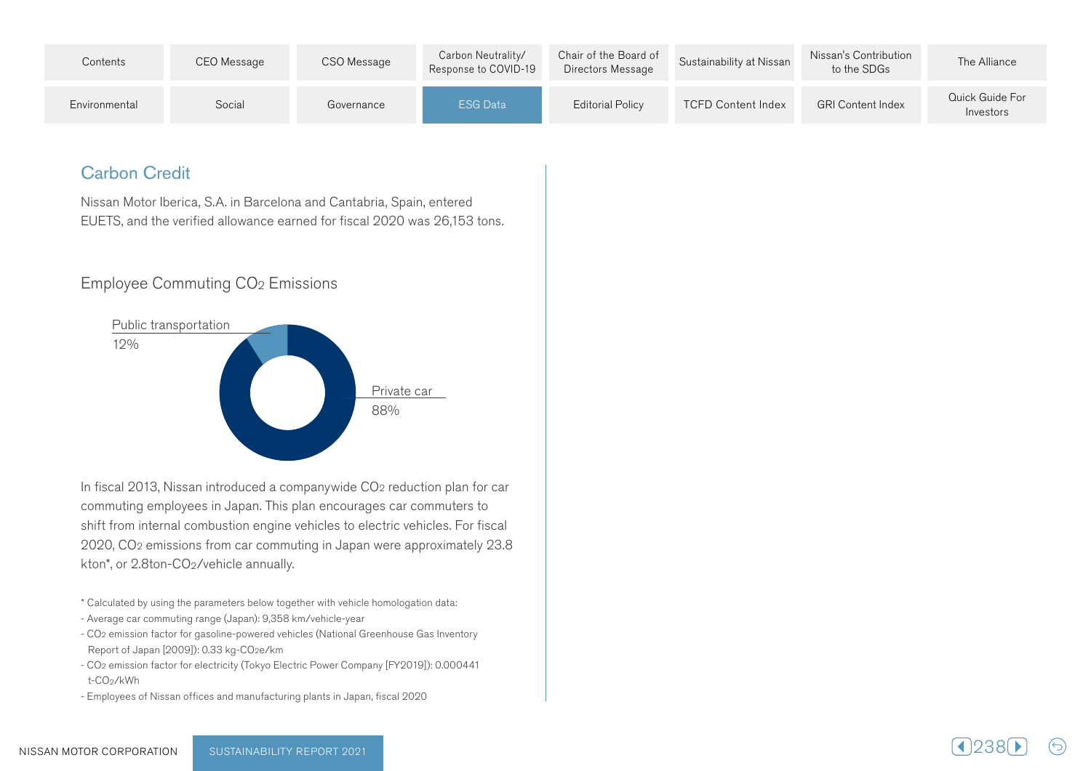| Contents      | CEO Message | CSO Message | Carbon Neutrality/<br>Response to COVID-19 | Chair of the Board of<br>Directors Message | Sustainability at Nissan  | Nissan's Contribution<br>to the SDGs | The Alliance                 |
|---------------|-------------|-------------|--------------------------------------------|--------------------------------------------|---------------------------|--------------------------------------|------------------------------|
| Environmental | Social      | Governance  | ESG Data                                   | Editorial Policy                           | <b>TCFD Content Index</b> | <b>GRI Content Index</b>             | Quick Guide For<br>Investors |

### **Carbon Credit**

Nissan Motor Iberica, S.A. in Barcelona and Cantabria, Spain, entered EUETS, and the verified allowance earned for fiscal 2020 was 26,153 tons.

#### Employee Commuting CO<sub>2</sub> Emissions



In fiscal 2013, Nissan introduced a companywide CO<sub>2</sub> reduction plan for car commuting employees in Japan. This plan encourages car commuters to shift from internal combustion engine vehicles to electric vehicles. For fiscal 2020, CO<sub>2</sub> emissions from car commuting in Japan were approximately 23.8 kton\*, or 2.8 ton-CO<sub>2</sub>/vehicle annually.

\* Calculated by using the parameters below together with vehicle homologation data:

- Average car commuting range (Japan): 9,358 km/vehicle-year
- CO<sub>2</sub> emission factor for gasoline-powered vehicles (National Greenhouse Gas Inventory Report of Japan [2009]): 0.33 kg-CO2e/km
- CO<sub>2</sub> emission factor for electricity (Tokyo Electric Power Company [FY2019]): 0.000441 t-CO<sub>2</sub>/kWh
- Employees of Nissan offices and manufacturing plants in Japan, fiscal 2020

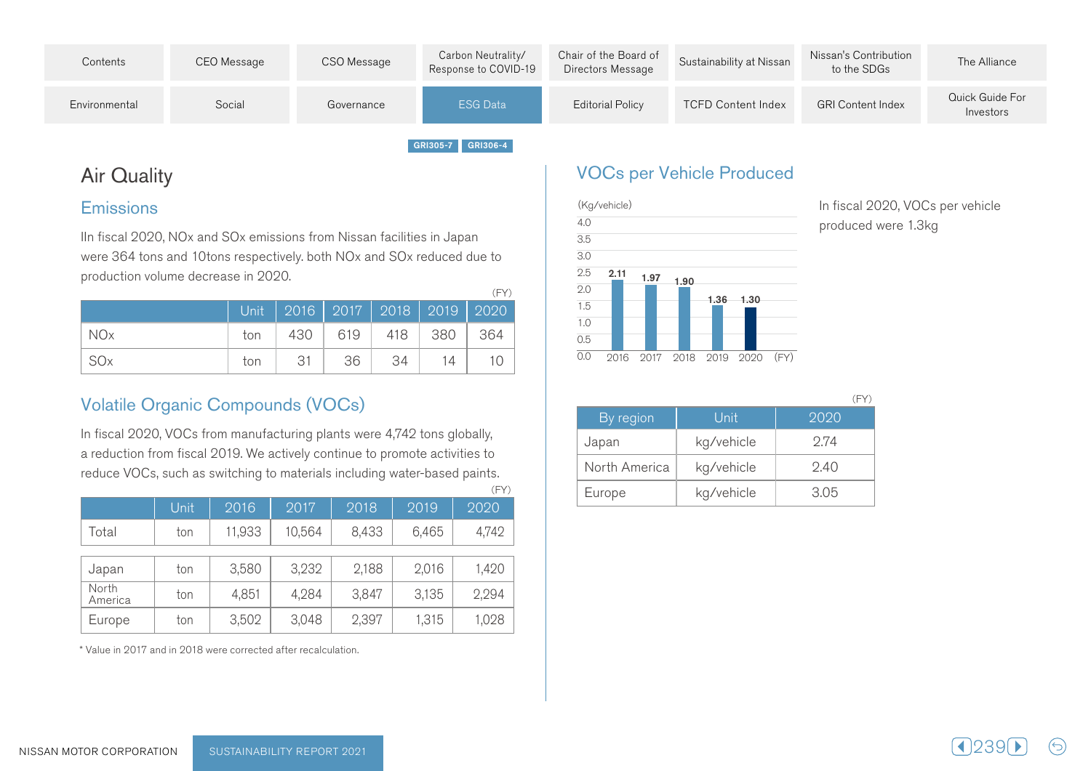| Contents      | CEO Message | CSO Message | Carbon Neutrality/<br>Response to COVID-19 | Chair of the Board of<br>Directors Message | Sustainability at Nissan  | Nissan's Contribution<br>to the SDGs | The Alliance                 |
|---------------|-------------|-------------|--------------------------------------------|--------------------------------------------|---------------------------|--------------------------------------|------------------------------|
| Environmental | Social      | Governance  | <b>ESG Data</b>                            | <b>Editorial Policy</b>                    | <b>TCFD Content Index</b> | <b>GRI Content Index</b>             | Quick Guide For<br>Investors |
|               |             |             | GRI305-7 GRI306-4                          |                                            |                           |                                      |                              |

## **Air Quality**

#### Emissions

In fiscal 2020, NOx and SOx emissions from Nissan facilities in Japan were 364 tons and 10tons respectively, both NOx and SOx reduced due to production volume decrease in 2020.

|                 |     |     |                       |    |    | Unit   2016   2017   2018   2019   2020 |
|-----------------|-----|-----|-----------------------|----|----|-----------------------------------------|
| NO <sub>x</sub> | ton |     | 430   619   418   380 |    |    | 364                                     |
| -SOx            | ton | -31 | 36                    | 34 | 14 |                                         |

## Volatile Organic Compounds (VOCs)

In fiscal 2020, VOCs from manufacturing plants were 4,742 tons globally, a reduction from fiscal 2019. We actively continue to promote activities to reduce VOCs, such as switching to materials including water-based paints.

|                  |      |        |        |       |       | (FY)  |
|------------------|------|--------|--------|-------|-------|-------|
|                  | Unit | 2016   | 2017   | 2018  | 2019  | 2020  |
| Total            | ton  | 11,933 | 10,564 | 8,433 | 6,465 | 4,742 |
| Japan            | ton  | 3,580  | 3,232  | 2,188 | 2,016 | 1,420 |
| North<br>America | ton  | 4,851  | 4,284  | 3,847 | 3,135 | 2,294 |
| Europe           | ton  | 3,502  | 3,048  | 2,397 | 1,315 | 1,028 |

\* Value in 2017 and in 2018 were corrected after recalculation.

### VOCs per Vehicle Produced



In fiscal 2020, VOCs per vehicle produced were 1.3 kg

 $(FY)$ 

| By region     | Unit       | 2020 |
|---------------|------------|------|
| Japan         | kg/vehicle | 2.74 |
| North America | kg/vehicle | 9.40 |
| Europe        | kg/vehicle | 3.05 |

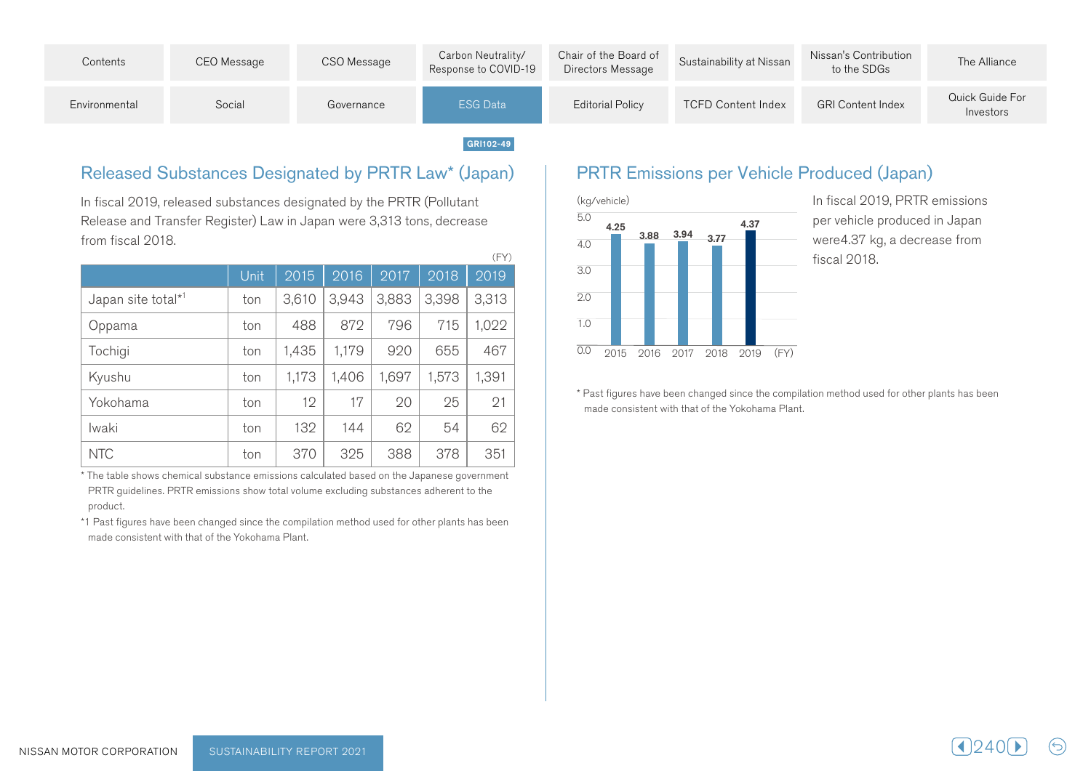

#### Released Substances Designated by PRTR Law\* (Japan)

In fiscal 2019, released substances designated by the PRTR (Pollutant Release and Transfer Register) Law in Japan were 3,313 tons, decrease from fiscal 2018.

|                                |      |       |       |       |       | (FY)  |
|--------------------------------|------|-------|-------|-------|-------|-------|
|                                | Unit | 2015  | 2016  | 2017  | 2018  | 2019  |
| Japan site total* <sup>1</sup> | ton  | 3,610 | 3,943 | 3,883 | 3,398 | 3,313 |
| Oppama                         | ton  | 488   | 872   | 796   | 715   | 1,022 |
| Tochigi                        | ton  | 1,435 | 1,179 | 920   | 655   | 467   |
| Kyushu                         | ton  | 1,173 | 1,406 | 1,697 | 1,573 | 1,391 |
| Yokohama                       | ton  | 12    | 17    | 20    | 25    | 21    |
| Iwaki                          | ton  | 132   | 144   | 62    | 54    | 62    |
| <b>NTC</b>                     | ton  | 370   | 325   | 388   | 378   | 351   |

<sup>\*</sup> The table shows chemical substance emissions calculated based on the Japanese government PRTR guidelines. PRTR emissions show total volume excluding substances adherent to the product.

\*1 Past figures have been changed since the compilation method used for other plants has been made consistent with that of the Yokohama Plant.

#### **PRTR Emissions per Vehicle Produced (Japan)**



In fiscal 2019, PRTR emissions per vehicle produced in Japan were 4.37 kg, a decrease from 2018. fiscal

\* Past figures have been changed since the compilation method used for other plants has been made consistent with that of the Yokohama Plant.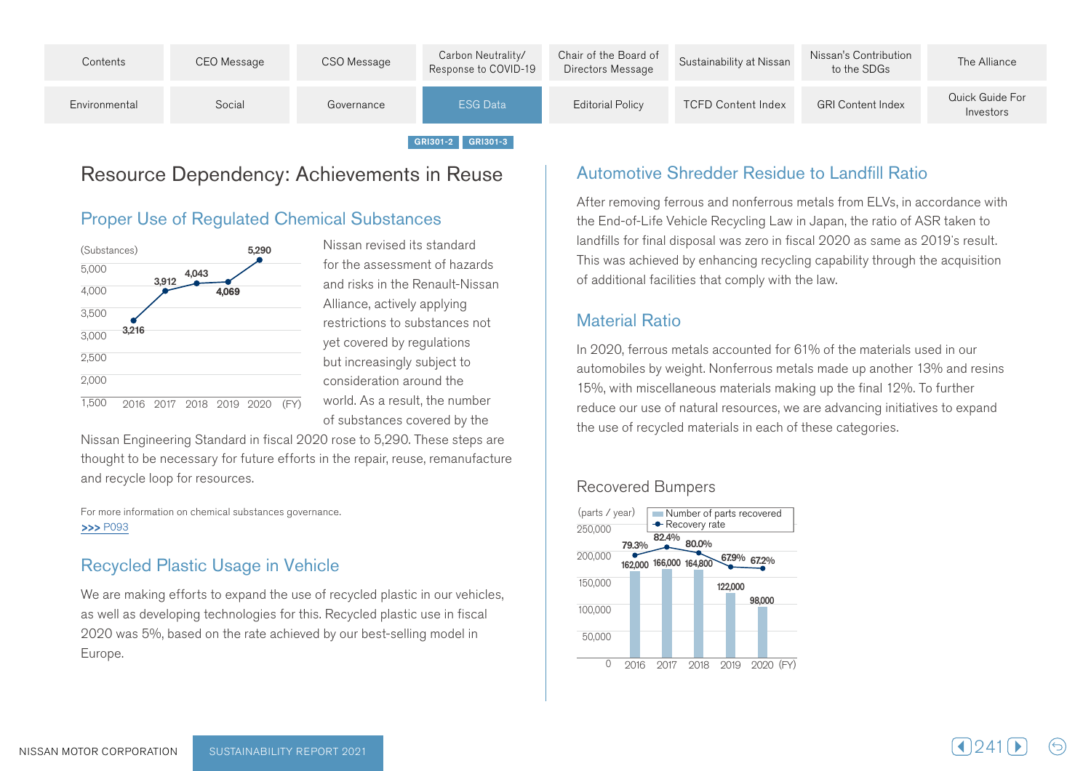

## Resource Dependency: Achievements in Reuse

#### **Proper Use of Regulated Chemical Substances**



Nissan revised its standard for the assessment of hazards and risks in the Renault-Nissan Alliance, actively applying restrictions to substances not vet covered by regulations but increasingly subject to consideration around the world. As a result, the number of substances covered by the

Nissan Engineering Standard in fiscal 2020 rose to 5,290. These steps are thought to be necessary for future efforts in the repair, reuse, remanufacture and recycle loop for resources.

For more information on chemical substances governance. >>>P093

#### **Recycled Plastic Usage in Vehicle**

We are making efforts to expand the use of recycled plastic in our vehicles, as well as developing technologies for this. Recycled plastic use in fiscal 2020 was 5%, based on the rate achieved by our best-selling model in .Europe

#### Automotive Shredder Residue to Landfill Ratio

After removing ferrous and nonferrous metals from ELVs, in accordance with the End-of-Life Vehicle Recycling Law in Japan, the ratio of ASR taken to landfills for final disposal was zero in fiscal 2020 as same as 2019's result. This was achieved by enhancing recycling capability through the acquisition of additional facilities that comply with the law.

#### Material Ratio

In 2020, ferrous metals accounted for 61% of the materials used in our automobiles by weight. Nonferrous metals made up another 13% and resins 15%, with miscellaneous materials making up the final 12%. To further reduce our use of natural resources, we are advancing initiatives to expand the use of recycled materials in each of these categories.

#### Recovered Bumpers

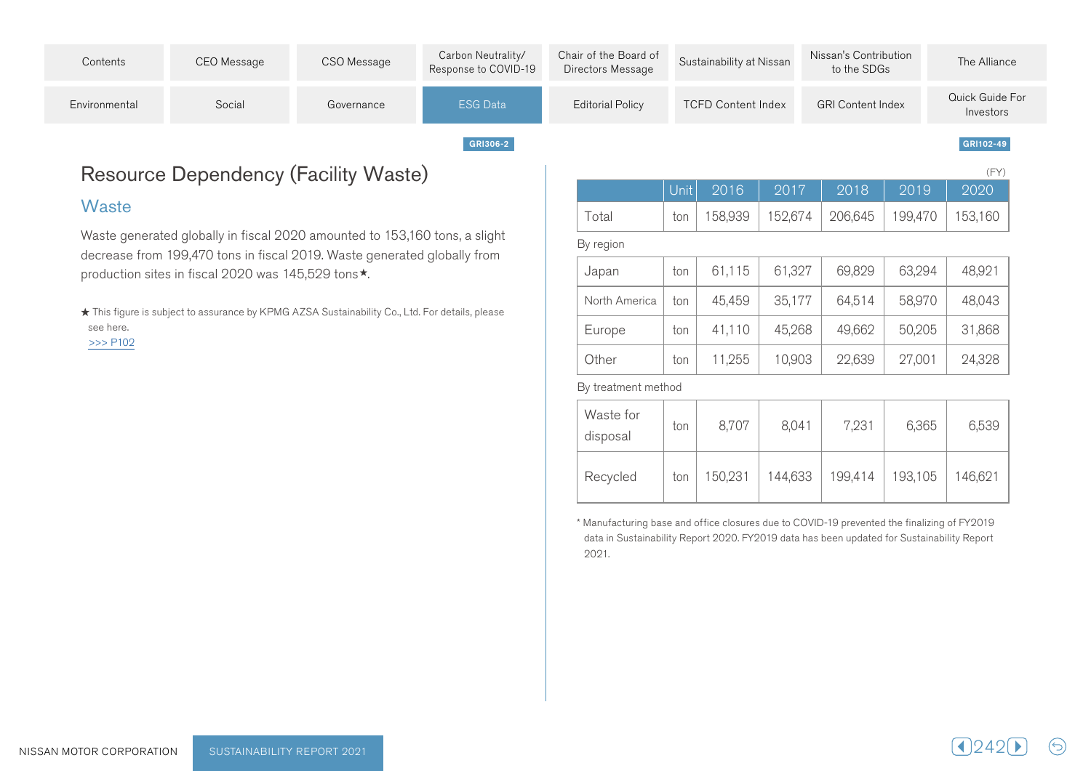| Contents      | CEO Message | CSO Message | Carbon Neutrality/<br>Response to COVID-19 | Chair of the Board of<br>Directors Message | Sustainability at Nissan  | Nissan's Contribution<br>to the SDGs | The Alliance                 |
|---------------|-------------|-------------|--------------------------------------------|--------------------------------------------|---------------------------|--------------------------------------|------------------------------|
| Environmental | Social      | Governance  | <b>ESG Data</b>                            | <b>Editorial Policy</b>                    | <b>TCFD Content Index</b> | <b>GRI Content Index</b>             | Quick Guide For<br>Investors |
|               |             |             | GRI306-2                                   |                                            |                           |                                      | GRI102-49                    |

## Resource Dependency (Facility Waste)

#### **Waste**

Waste generated globally in fiscal 2020 amounted to 153,160 tons, a slight decrease from 199,470 tons in fiscal 2019. Waste generated globally from production sites in fiscal 2020 was 145,529 tons \*.

★ This figure is subject to assurance by KPMG AZSA Sustainability Co., Ltd. For details, please see here.  $>>$  P102

|       |  |                                                       | $\sqrt{2}$ |
|-------|--|-------------------------------------------------------|------------|
|       |  | Unit  2016  2017  2018  2019  2020                    |            |
| Total |  | ton   158,939   152,674   206,645   199,470   153,160 |            |

#### By region

| Japan         | ton | 61,115 | 61,327 | 69,829 | 63,294 | 48,921 |
|---------------|-----|--------|--------|--------|--------|--------|
| North America | ton | 45,459 | 35,177 | 64,514 | 58,970 | 48,043 |
| Europe        | ton | 41,110 | 45,268 | 49,662 | 50,205 | 31,868 |
| Other         | ton | 11,255 | 10,903 | 22,639 | 27,001 | 24,328 |

By treatment method

| Waste for<br>disposal | ton | 8,707   | 8,041   | 7,231   | 6,365   | 6,539   |
|-----------------------|-----|---------|---------|---------|---------|---------|
| Recycled              | ton | 150,231 | 144,633 | 199,414 | 193,105 | 146,621 |

<sup>\*</sup> Manufacturing base and office closures due to COVID-19 prevented the finalizing of FY2019 data in Sustainability Report 2020. FY2019 data has been updated for Sustainability Report 2021.

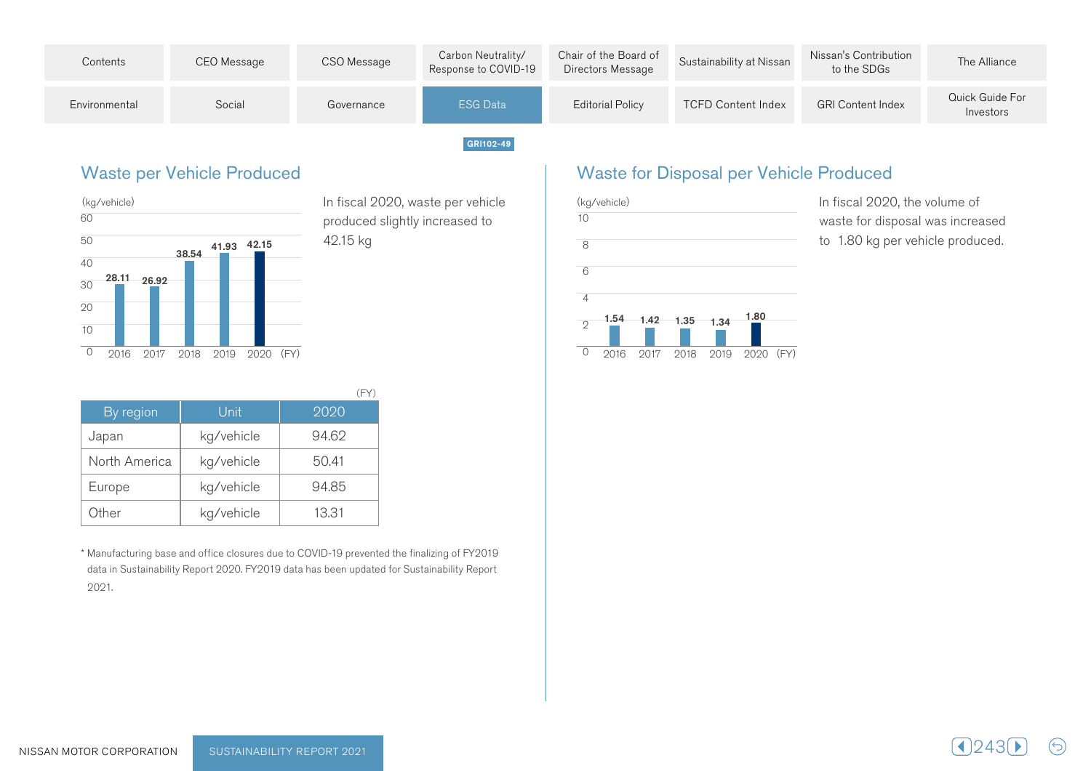

#### **Waste per Vehicle Produced**



In fiscal 2020, waste per vehicle produced slightly increased to 42.15 kg

| By region     | Unit       | 2020  |
|---------------|------------|-------|
| Japan         | kg/vehicle | 94.62 |
| North America | kg/vehicle | 50.41 |
| Europe        | kg/vehicle | 94.85 |
| Other         | kg/vehicle | 13.31 |

<sup>\*</sup> Manufacturing base and office closures due to COVID-19 prevented the finalizing of FY2019 data in Sustainability Report 2020. FY2019 data has been updated for Sustainability Report 2021.

### Waste for Disposal per Vehicle Produced



In fiscal 2020, the volume of waste for disposal was increased to 1.80 kg per vehicle produced.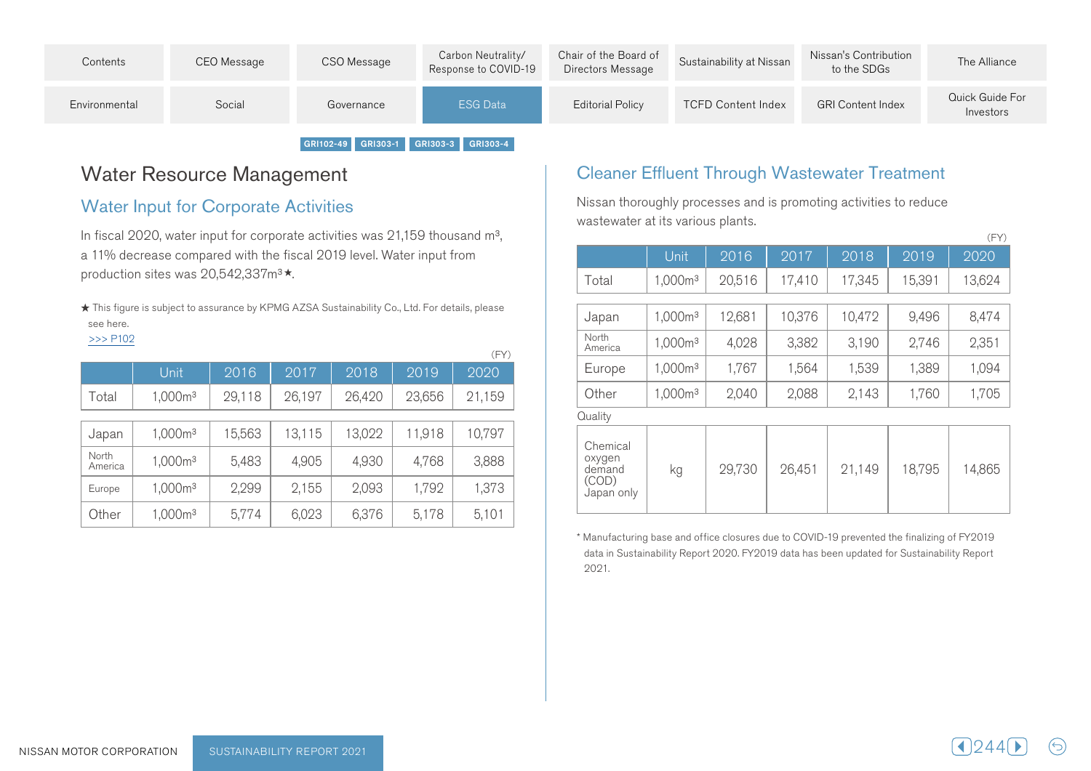| Contents      | CEO Message | CSO Message | Carbon Neutrality/<br>Response to COVID-19 | Chair of the Board of<br>Directors Message | Sustainability at Nissan  | Nissan's Contribution<br>to the SDGs | The Alliance                 |
|---------------|-------------|-------------|--------------------------------------------|--------------------------------------------|---------------------------|--------------------------------------|------------------------------|
| Environmental | Social      | Governance  | <b>ESG Data</b>                            | <b>Editorial Policy</b>                    | <b>TCFD Content Index</b> | <b>GRI Content Index</b>             | Quick Guide For<br>Investors |
|               |             |             |                                            |                                            |                           |                                      |                              |

# GRI102-49 GRI303-1 GRI303-3 GRI303-4

## Water Resource Management

#### **Water Input for Corporate Activities**

In fiscal 2020, water input for corporate activities was 21,159 thousand  $m^3$ , a 11% decrease compared with the fiscal 2019 level. Water input from production sites was 20,542,337m<sup>3★</sup>.

 $\star$  This figure is subject to assurance by KPMG AZSA Sustainability Co., Ltd. For details, please see here.  $>>$  P102

|                  |                     |        |        |        |        | (FY)   |
|------------------|---------------------|--------|--------|--------|--------|--------|
|                  | Unit                | 2016   | 2017   | 2018   | 2019   | 2020   |
| Total            | 1,000m <sup>3</sup> | 29,118 | 26,197 | 26,420 | 23,656 | 21,159 |
| Japan            | 1,000m <sup>3</sup> | 15,563 | 13,115 | 13,022 | 11,918 | 10,797 |
| North<br>America | 1,000m <sup>3</sup> | 5,483  | 4,905  | 4,930  | 4,768  | 3,888  |
| Europe           | 1,000m <sup>3</sup> | 2,299  | 2,155  | 2,093  | 1,792  | 1,373  |
| Other            | 1,000m <sup>3</sup> | 5,774  | 6,023  | 6,376  | 5,178  | 5,101  |

### Cleaner Effluent Through Wastewater Treatment

Nissan thoroughly processes and is promoting activities to reduce wastewater at its various plants.

|                                                     |                     |        |        |        |        | (FY)   |
|-----------------------------------------------------|---------------------|--------|--------|--------|--------|--------|
|                                                     | Unit                | 2016   | 2017   | 2018   | 2019   | 2020   |
| Total                                               | 1,000m <sup>3</sup> | 20,516 | 17,410 | 17,345 | 15,391 | 13,624 |
| Japan                                               | 1,000m <sup>3</sup> | 12,681 | 10,376 | 10,472 | 9,496  | 8,474  |
| North<br>America                                    | 1,000m <sup>3</sup> | 4,028  | 3,382  | 3,190  | 2,746  | 2,351  |
| Europe                                              | 1,000m <sup>3</sup> | 1,767  | 1,564  | 1,539  | 1,389  | 1,094  |
| Other                                               | 1,000m <sup>3</sup> | 2,040  | 2,088  | 2,143  | 1,760  | 1,705  |
| Quality                                             |                     |        |        |        |        |        |
| Chemical<br>oxygen<br>demand<br>(COD)<br>Japan only | kg                  | 29,730 | 26,451 | 21,149 | 18,795 | 14,865 |

<sup>\*</sup> Manufacturing base and office closures due to COVID-19 prevented the finalizing of FY2019 data in Sustainability Report 2020. FY2019 data has been updated for Sustainability Report 2021.

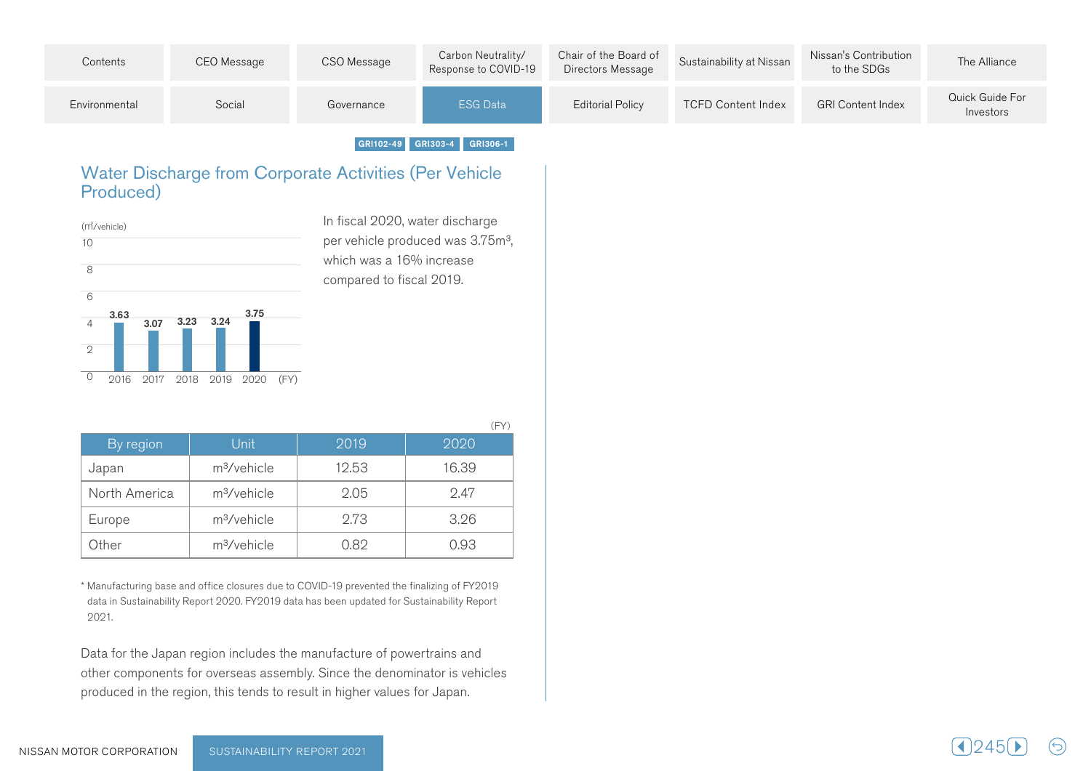| Contents      | CEO Message | CSO Message | Carbon Neutrality/<br>Response to COVID-19 | Chair of the Board of<br>Directors Message | Sustainability at Nissan  | Nissan's Contribution<br>to the SDGs | The Alliance                 |
|---------------|-------------|-------------|--------------------------------------------|--------------------------------------------|---------------------------|--------------------------------------|------------------------------|
| Environmental | Social      | Governance  | <b>ESG Data</b>                            | Editorial Policy                           | <b>TCFD Content Index</b> | <b>GRI Content Index</b>             | Quick Guide For<br>Investors |

GRI102-49 GRI303-4 GRI306-1

#### Water Discharge from Corporate Activities (Per Vehicle Produced)



In fiscal 2020, water discharge per vehicle produced was 3.75m<sup>3</sup>, which was a 16% increase compared to fiscal 2019.

 $($  $\Gamma$  $\vee$  $\wedge$ 

| By region     | Unit                    | 2019  | 2020  |
|---------------|-------------------------|-------|-------|
| Japan         | m <sup>3</sup> /vehicle | 12.53 | 16.39 |
| North America | m <sup>3</sup> /vehicle | 2.05  | 2.47  |
| Europe        | m <sup>3</sup> /vehicle | 2.73  | 3.26  |
| Other         | m <sup>3</sup> /vehicle | 0.82  | 0.93  |

\* Manufacturing base and office closures due to COVID-19 prevented the finalizing of FY2019 data in Sustainability Report 2020. FY2019 data has been updated for Sustainability Report 2021.

Data for the Japan region includes the manufacture of powertrains and other components for overseas assembly. Since the denominator is vehicles produced in the region, this tends to result in higher values for Japan.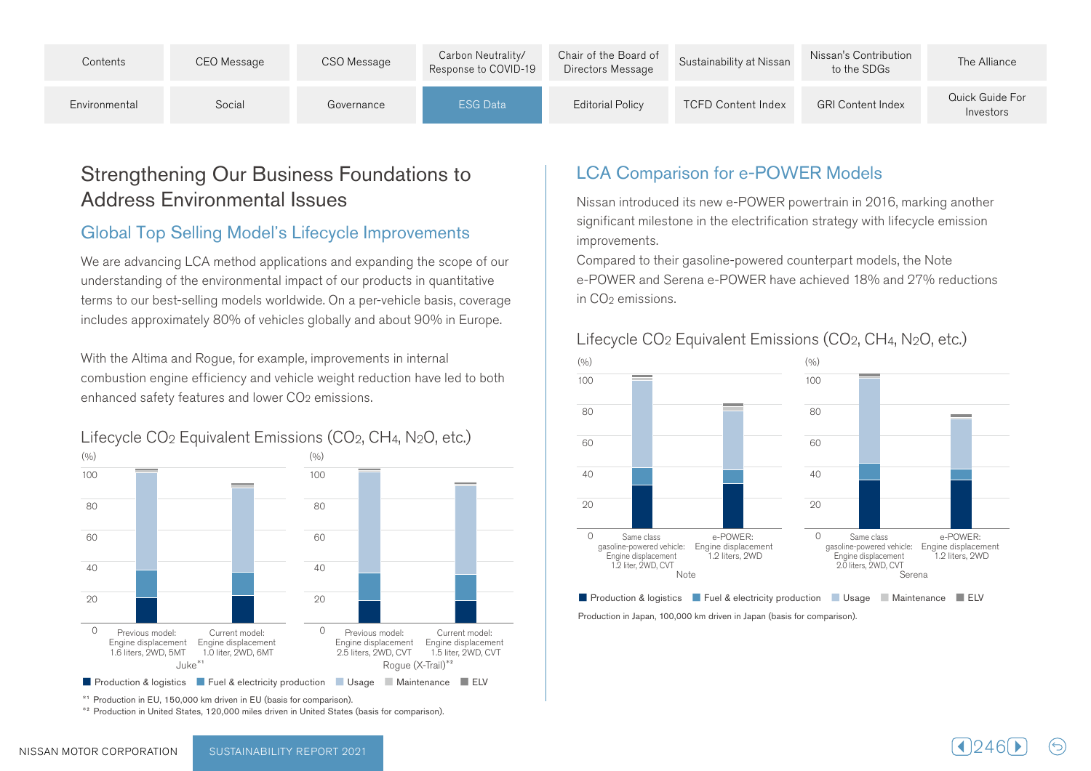| Contents      | CEO Message | CSO Message | Carbon Neutrality/<br>Response to COVID-19 | Chair of the Board of<br>Directors Message | Sustainability at Nissan  | Nissan's Contribution<br>to the SDGs | The Alliance                 |
|---------------|-------------|-------------|--------------------------------------------|--------------------------------------------|---------------------------|--------------------------------------|------------------------------|
| Environmental | Social      | Governance  | <b>ESG Data</b>                            | <b>Editorial Policy</b>                    | <b>TCFD Content Index</b> | <b>GRI Content Index</b>             | Quick Guide For<br>Investors |

## Strengthening Our Business Foundations to Address Environmental Issues

### Global Top Selling Model's Lifecycle Improvements

We are advancing LCA method applications and expanding the scope of our understanding of the environmental impact of our products in quantitative terms to our best-selling models worldwide. On a per-vehicle basis, coverage includes approximately 80% of vehicles globally and about 90% in Europe.

With the Altima and Rogue, for example, improvements in internal combustion engine efficiency and vehicle weight reduction have led to both enhanced safety features and lower CO<sub>2</sub> emissions.



<sup>\*1</sup> Production in EU, 150,000 km driven in EU (basis for comparison).<br><sup>\*2</sup> Production in United States, 120,000 miles driven in United States (basis for comparison).

## **LCA Comparison for e-POWER Models**

Nissan introduced its new e-POWER powertrain in 2016, marking another significant milestone in the electrification strategy with lifecycle emission .improvements

Compared to their gasoline-powered counterpart models, the Note e-POWER and Serena e-POWER have achieved 18% and 27% reductions  $\ln$  CO<sub>2</sub> emissions.

#### Lifecycle  $CO<sub>2</sub>$  Equivalent Emissions ( $CO<sub>2</sub>$ ,  $CH<sub>4</sub>$ , N<sub>2</sub>O, etc.)



Production in Japan, 100,000 km driven in Japan (basis for comparison).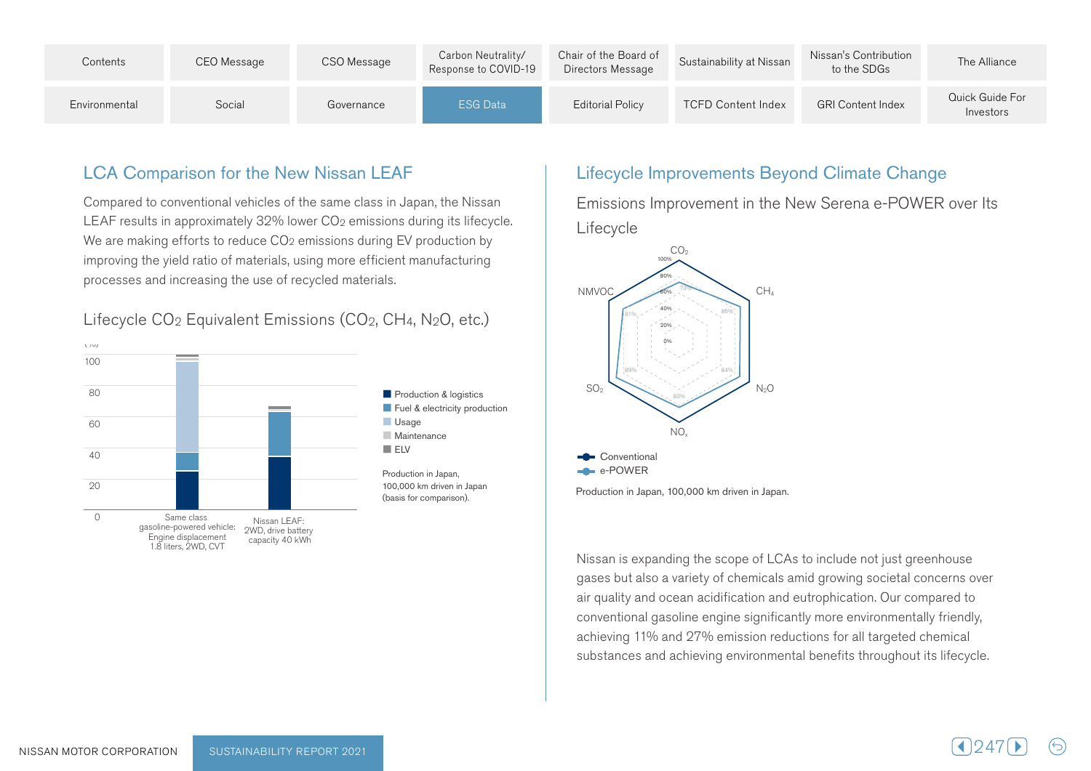| Contents      | CEO Message | CSO Message | Carbon Neutrality/<br>Response to COVID-19 | Chair of the Board of<br>Directors Message | Sustainability at Nissan  | Nissan's Contribution<br>to the SDGs | The Alliance                 |
|---------------|-------------|-------------|--------------------------------------------|--------------------------------------------|---------------------------|--------------------------------------|------------------------------|
| Environmental | Social      | Governance  | <b>ESG Data</b>                            | <b>Editorial Policy</b>                    | <b>TCFD Content Index</b> | <b>GRI Content Index</b>             | Quick Guide For<br>Investors |

#### **LCA Comparison for the New Nissan LEAF**

Compared to conventional vehicles of the same class in Japan, the Nissan LEAF results in approximately 32% lower CO<sub>2</sub> emissions during its lifecycle. We are making efforts to reduce CO<sub>2</sub> emissions during EV production by improving the yield ratio of materials, using more efficient manufacturing processes and increasing the use of recycled materials.



#### Lifecycle CO<sub>2</sub> Equivalent Emissions (CO<sub>2</sub>, CH<sub>4</sub>, N<sub>2</sub>O, etc.)

#### Lifecycle Improvements Beyond Climate Change

Emissions Improvement in the New Serena e-POWER over Its Lifecycle



Production in Japan, 100,000 km driven in Japan.

Nissan is expanding the scope of LCAs to include not just greenhouse gases but also a variety of chemicals amid growing societal concerns over air quality and ocean acidification and eutrophication. Our compared to conventional gasoline engine significantly more environmentally friendly, achieving 11% and 27% emission reductions for all targeted chemical substances and achieving environmental benefits throughout its lifecycle.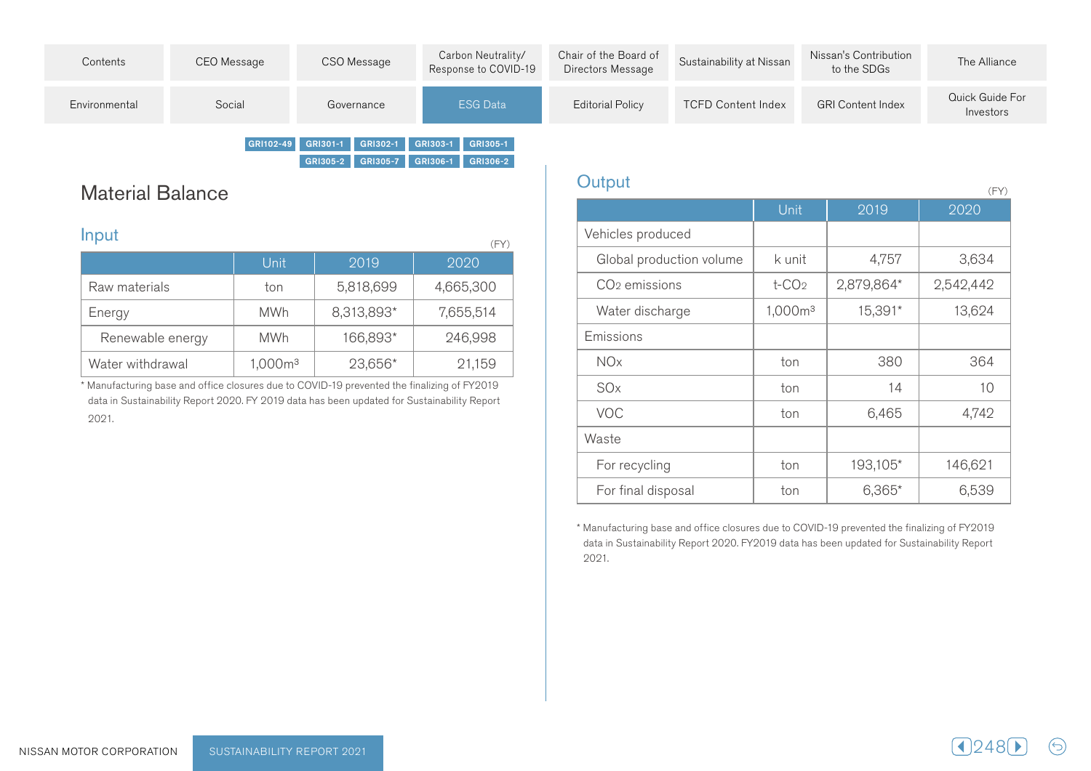| Contents      | CEO Message | CSO Message                                   | Carbon Neutrality/<br>Response to COVID-19 | Chair of the Board of<br>Directors Message | Sustainability at Nissan  | Nissan's Contribution<br>to the SDGs | The Alliance                 |
|---------------|-------------|-----------------------------------------------|--------------------------------------------|--------------------------------------------|---------------------------|--------------------------------------|------------------------------|
| Environmental | Social      | Governance                                    | <b>ESG Data</b>                            | <b>Editorial Policy</b>                    | <b>TCFD Content Index</b> | <b>GRI Content Index</b>             | Quick Guide For<br>Investors |
|               |             | GRI102-49 GRI301-1 GRI302-1 GRI303-1 GRI305-1 |                                            |                                            |                           |                                      |                              |

**Material Balance** 

| Input<br>(FY)    |                     |            |           |  |  |  |
|------------------|---------------------|------------|-----------|--|--|--|
|                  | Unit                | 2019       | 2020      |  |  |  |
| Raw materials    | ton                 | 5,818,699  | 4,665,300 |  |  |  |
| Energy           | <b>MWh</b>          | 8,313,893* | 7,655,514 |  |  |  |
| Renewable energy | <b>MWh</b>          | 166,893*   | 246,998   |  |  |  |
| Water withdrawal | 1,000m <sup>3</sup> | 23,656*    | 21,159    |  |  |  |

GRI305-2 GRI305-7 GRI306-1 GRI306-2

\* Manufacturing base and office closures due to COVID-19 prevented the finalizing of FY2019 data in Sustainability Report 2020. FY 2019 data has been updated for Sustainability Report 2021.

| Output                    |                      |            | (FY)      |
|---------------------------|----------------------|------------|-----------|
|                           | <b>Unit</b>          | 2019       | 2020      |
| Vehicles produced         |                      |            |           |
| Global production volume  | k unit               | 4,757      | 3,634     |
| CO <sub>2</sub> emissions | $t$ -CO <sub>2</sub> | 2,879,864* | 2,542,442 |
| Water discharge           | 1,000m <sup>3</sup>  | 15,391*    | 13,624    |
| Emissions                 |                      |            |           |
| <b>NO<sub>x</sub></b>     | ton                  | 380        | 364       |
| SOx                       | ton                  | 14         | 10        |
| <b>VOC</b>                | ton                  | 6,465      | 4,742     |
| Waste                     |                      |            |           |
| For recycling             | ton                  | 193,105*   | 146,621   |
| For final disposal        | ton                  | $6,365*$   | 6,539     |

\* Manufacturing base and office closures due to COVID-19 prevented the finalizing of FY2019 data in Sustainability Report 2020. FY2019 data has been updated for Sustainability Report 2021.